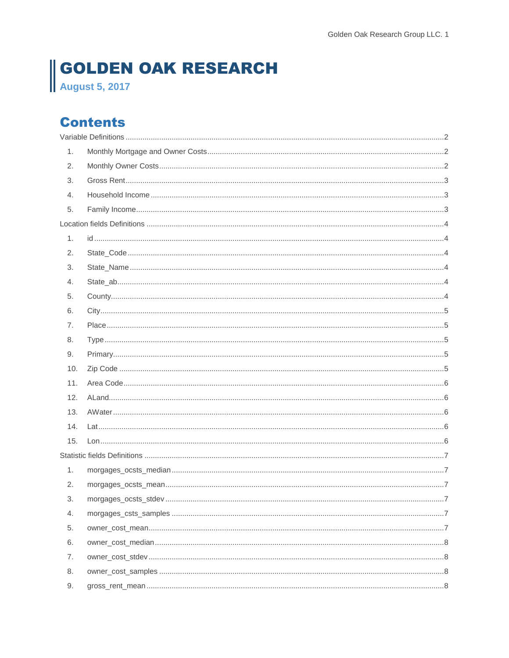# **GOLDEN OAK RESEARCH**<br>August 5, 2017

# **Contents**

| 1.  |  |
|-----|--|
| 2.  |  |
| 3.  |  |
| 4.  |  |
| 5.  |  |
|     |  |
| 1.  |  |
| 2.  |  |
| 3.  |  |
| 4.  |  |
| 5.  |  |
| 6.  |  |
| 7.  |  |
| 8.  |  |
| 9.  |  |
| 10. |  |
| 11. |  |
| 12. |  |
| 13. |  |
| 14. |  |
| 15. |  |
|     |  |
| 1.  |  |
| 2.  |  |
| 3.  |  |
| 4.  |  |
| 5.  |  |
| 6.  |  |
| 7.  |  |
| 8.  |  |
| 9.  |  |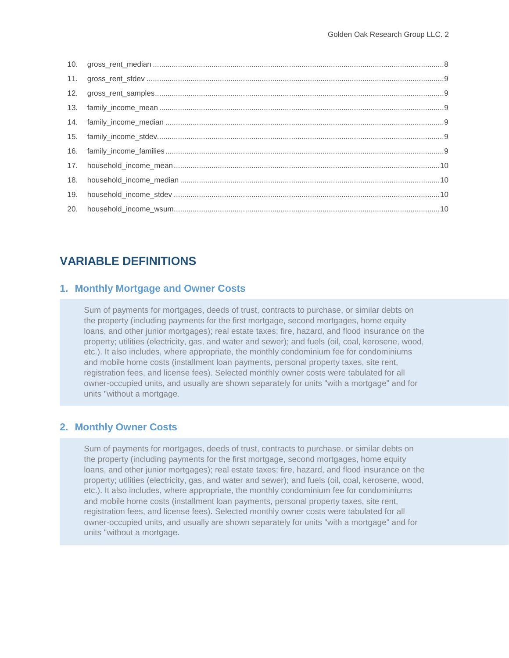| 19. |  |
|-----|--|
|     |  |
|     |  |

# <span id="page-1-0"></span>**VARIABLE DEFINITIONS**

## <span id="page-1-1"></span>**1. Monthly Mortgage and Owner Costs**

Sum of payments for mortgages, deeds of trust, contracts to purchase, or similar debts on the property (including payments for the first mortgage, second mortgages, home equity loans, and other junior mortgages); real estate taxes; fire, hazard, and flood insurance on the property; utilities (electricity, gas, and water and sewer); and fuels (oil, coal, kerosene, wood, etc.). It also includes, where appropriate, the monthly condominium fee for condominiums and mobile home costs (installment loan payments, personal property taxes, site rent, registration fees, and license fees). Selected monthly owner costs were tabulated for all owner-occupied units, and usually are shown separately for units "with a mortgage" and for units "without a mortgage.

## <span id="page-1-2"></span>**2. Monthly Owner Costs**

Sum of payments for mortgages, deeds of trust, contracts to purchase, or similar debts on the property (including payments for the first mortgage, second mortgages, home equity loans, and other junior mortgages); real estate taxes; fire, hazard, and flood insurance on the property; utilities (electricity, gas, and water and sewer); and fuels (oil, coal, kerosene, wood, etc.). It also includes, where appropriate, the monthly condominium fee for condominiums and mobile home costs (installment loan payments, personal property taxes, site rent, registration fees, and license fees). Selected monthly owner costs were tabulated for all owner-occupied units, and usually are shown separately for units "with a mortgage" and for units "without a mortgage.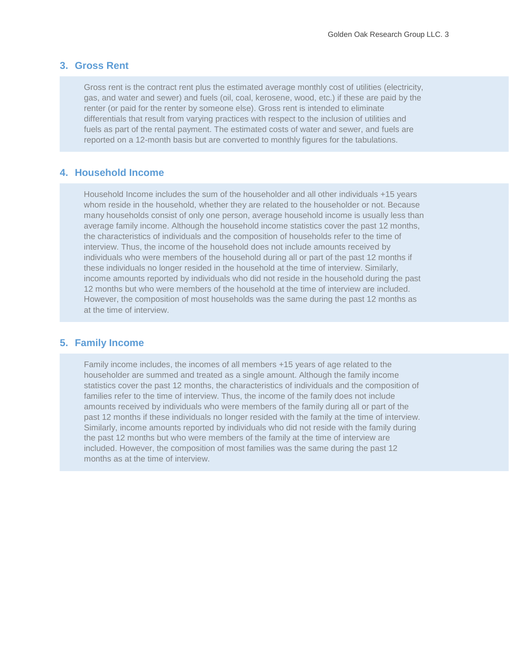## <span id="page-2-0"></span>**3. Gross Rent**

Gross rent is the contract rent plus the estimated average monthly cost of utilities (electricity, gas, and water and sewer) and fuels (oil, coal, kerosene, wood, etc.) if these are paid by the renter (or paid for the renter by someone else). Gross rent is intended to eliminate differentials that result from varying practices with respect to the inclusion of utilities and fuels as part of the rental payment. The estimated costs of water and sewer, and fuels are reported on a 12-month basis but are converted to monthly figures for the tabulations.

## <span id="page-2-1"></span>**4. Household Income**

Household Income includes the sum of the householder and all other individuals +15 years whom reside in the household, whether they are related to the householder or not. Because many households consist of only one person, average household income is usually less than average family income. Although the household income statistics cover the past 12 months, the characteristics of individuals and the composition of households refer to the time of interview. Thus, the income of the household does not include amounts received by individuals who were members of the household during all or part of the past 12 months if these individuals no longer resided in the household at the time of interview. Similarly, income amounts reported by individuals who did not reside in the household during the past 12 months but who were members of the household at the time of interview are included. However, the composition of most households was the same during the past 12 months as at the time of interview.

## <span id="page-2-2"></span>**5. Family Income**

Family income includes, the incomes of all members +15 years of age related to the householder are summed and treated as a single amount. Although the family income statistics cover the past 12 months, the characteristics of individuals and the composition of families refer to the time of interview. Thus, the income of the family does not include amounts received by individuals who were members of the family during all or part of the past 12 months if these individuals no longer resided with the family at the time of interview. Similarly, income amounts reported by individuals who did not reside with the family during the past 12 months but who were members of the family at the time of interview are included. However, the composition of most families was the same during the past 12 months as at the time of interview.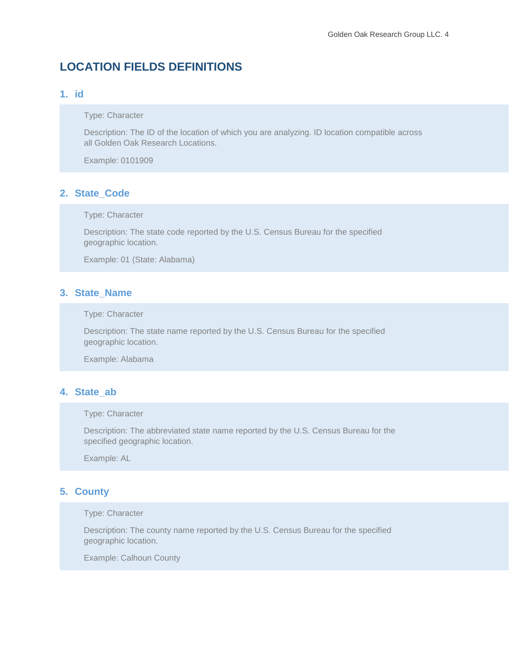# <span id="page-3-0"></span>**LOCATION FIELDS DEFINITIONS**

# <span id="page-3-1"></span>**1. id**

Type: Character

Description: The ID of the location of which you are analyzing. ID location compatible across all Golden Oak Research Locations.

Example: 0101909

## <span id="page-3-2"></span>**2. State\_Code**

Type: Character

Description: The state code reported by the U.S. Census Bureau for the specified geographic location.

Example: 01 (State: Alabama)

## <span id="page-3-3"></span>**3. State\_Name**

Type: Character

Description: The state name reported by the U.S. Census Bureau for the specified geographic location.

Example: Alabama

### <span id="page-3-4"></span>**4. State\_ab**

### Type: Character

Description: The abbreviated state name reported by the U.S. Census Bureau for the specified geographic location.

Example: AL

## <span id="page-3-5"></span>**5. County**

#### Type: Character

Description: The county name reported by the U.S. Census Bureau for the specified geographic location.

Example: Calhoun County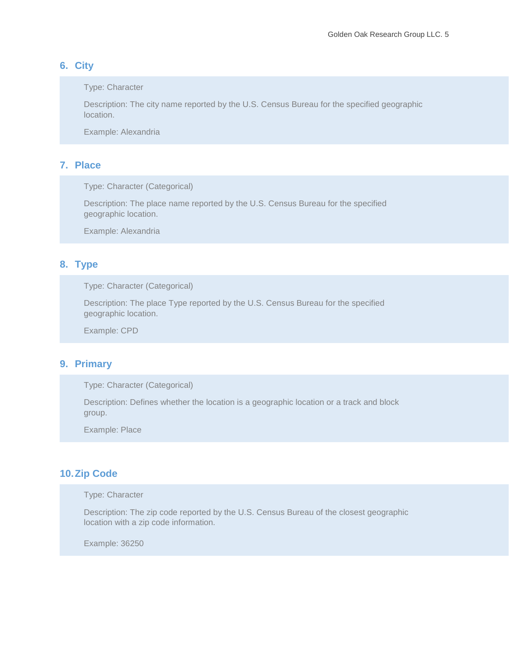## <span id="page-4-0"></span>**6. City**

Type: Character

Description: The city name reported by the U.S. Census Bureau for the specified geographic location.

Example: Alexandria

## <span id="page-4-1"></span>**7. Place**

Type: Character (Categorical)

Description: The place name reported by the U.S. Census Bureau for the specified geographic location.

Example: Alexandria

# <span id="page-4-2"></span>**8. Type**

Type: Character (Categorical)

Description: The place Type reported by the U.S. Census Bureau for the specified geographic location.

Example: CPD

## <span id="page-4-3"></span>**9. Primary**

Type: Character (Categorical)

Description: Defines whether the location is a geographic location or a track and block group.

Example: Place

# <span id="page-4-4"></span>**10.Zip Code**

Type: Character

Description: The zip code reported by the U.S. Census Bureau of the closest geographic location with a zip code information.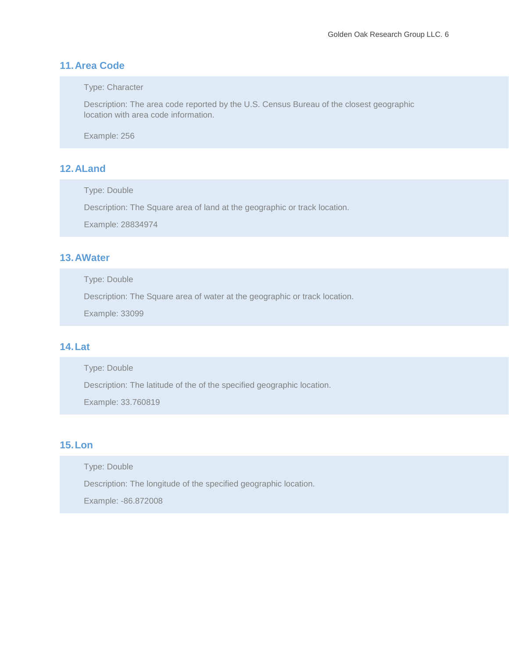# <span id="page-5-0"></span>**11.Area Code**

Type: Character

Description: The area code reported by the U.S. Census Bureau of the closest geographic location with area code information.

Example: 256

# <span id="page-5-1"></span>**12.ALand**

Type: Double

Description: The Square area of land at the geographic or track location.

Example: 28834974

# <span id="page-5-2"></span>**13.AWater**

Type: Double

Description: The Square area of water at the geographic or track location.

Example: 33099

# <span id="page-5-3"></span>**14.Lat**

Type: Double

Description: The latitude of the of the specified geographic location.

Example: 33.760819

# <span id="page-5-4"></span>**15.Lon**

Type: Double

Description: The longitude of the specified geographic location.

Example: -86.872008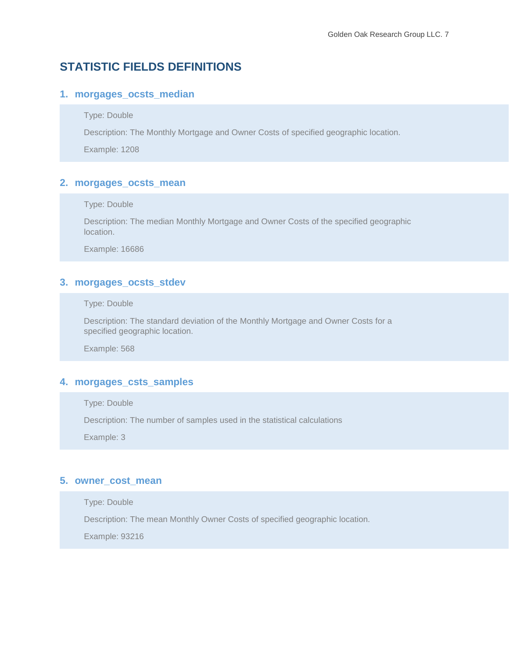# <span id="page-6-0"></span>**STATISTIC FIELDS DEFINITIONS**

## <span id="page-6-1"></span>**1. morgages\_ocsts\_median**

#### Type: Double

Description: The Monthly Mortgage and Owner Costs of specified geographic location.

Example: 1208

## <span id="page-6-2"></span>**2. morgages\_ocsts\_mean**

Type: Double

Description: The median Monthly Mortgage and Owner Costs of the specified geographic location.

Example: 16686

## <span id="page-6-3"></span>**3. morgages\_ocsts\_stdev**

Type: Double

Description: The standard deviation of the Monthly Mortgage and Owner Costs for a specified geographic location.

Example: 568

## <span id="page-6-4"></span>**4. morgages\_csts\_samples**

Type: Double

Description: The number of samples used in the statistical calculations

Example: 3

## <span id="page-6-5"></span>**5. owner\_cost\_mean**

Type: Double Description: The mean Monthly Owner Costs of specified geographic location. Example: 93216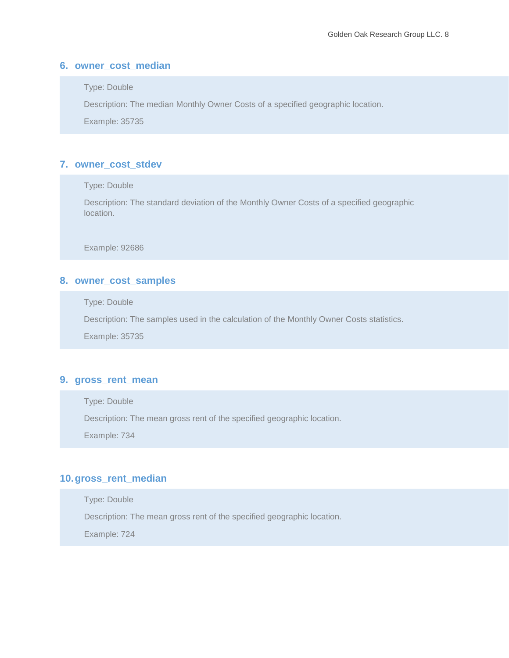## <span id="page-7-0"></span>**6. owner\_cost\_median**

Type: Double

Description: The median Monthly Owner Costs of a specified geographic location.

Example: 35735

## <span id="page-7-1"></span>**7. owner\_cost\_stdev**

Type: Double

Description: The standard deviation of the Monthly Owner Costs of a specified geographic location.

Example: 92686

## <span id="page-7-2"></span>**8. owner\_cost\_samples**

Type: Double

Description: The samples used in the calculation of the Monthly Owner Costs statistics.

Example: 35735

### <span id="page-7-3"></span>**9. gross\_rent\_mean**

Type: Double

Description: The mean gross rent of the specified geographic location.

Example: 734

## <span id="page-7-4"></span>**10.gross\_rent\_median**

Type: Double Description: The mean gross rent of the specified geographic location.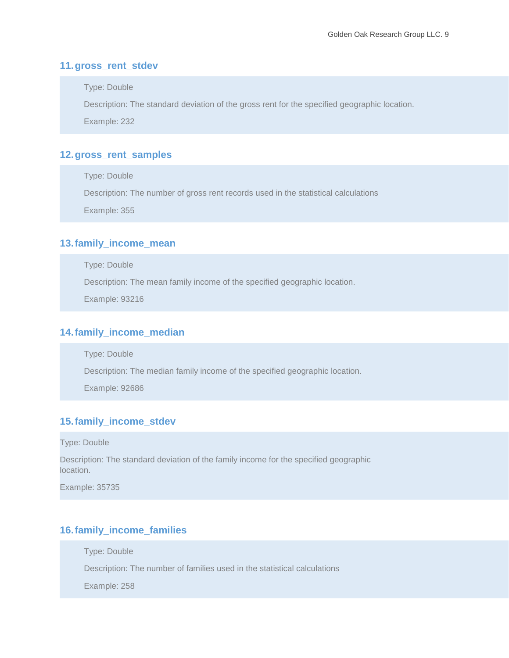## <span id="page-8-0"></span>**11.gross\_rent\_stdev**

Type: Double

Description: The standard deviation of the gross rent for the specified geographic location.

Example: 232

## <span id="page-8-1"></span>**12.gross\_rent\_samples**

Type: Double

Description: The number of gross rent records used in the statistical calculations

Example: 355

## <span id="page-8-2"></span>**13.family\_income\_mean**

Type: Double

Description: The mean family income of the specified geographic location.

Example: 93216

## <span id="page-8-3"></span>**14.family\_income\_median**

Type: Double

Description: The median family income of the specified geographic location.

Example: 92686

## <span id="page-8-4"></span>**15.family\_income\_stdev**

Type: Double

Description: The standard deviation of the family income for the specified geographic location.

Example: 35735

## <span id="page-8-5"></span>**16.family\_income\_families**

Type: Double

Description: The number of families used in the statistical calculations